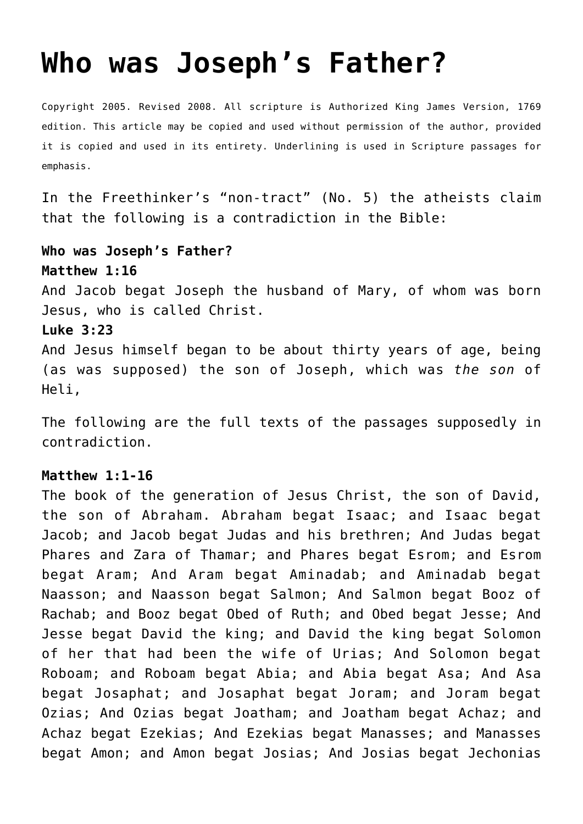# **[Who was Joseph's Father?](http://reproachofmen.org/apologetics/who-was-josephs-father/)**

Copyright 2005. Revised 2008. All scripture is Authorized King James Version, 1769 edition. This article may be copied and used without permission of the author, provided it is copied and used in its entirety. Underlining is used in Scripture passages for emphasis.

In the Freethinker's "non-tract" (No. 5) the atheists claim that the following is a contradiction in the Bible:

**Who was Joseph's Father? Matthew 1:16**

And Jacob begat Joseph the husband of Mary, of whom was born Jesus, who is called Christ.

# **Luke 3:23**

And Jesus himself began to be about thirty years of age, being (as was supposed) the son of Joseph, which was *the son* of Heli,

The following are the full texts of the passages supposedly in contradiction.

#### **Matthew 1:1-16**

The book of the generation of Jesus Christ, the son of David, the son of Abraham. Abraham begat Isaac; and Isaac begat Jacob; and Jacob begat Judas and his brethren; And Judas begat Phares and Zara of Thamar; and Phares begat Esrom; and Esrom begat Aram; And Aram begat Aminadab; and Aminadab begat Naasson; and Naasson begat Salmon; And Salmon begat Booz of Rachab; and Booz begat Obed of Ruth; and Obed begat Jesse; And Jesse begat David the king; and David the king begat Solomon of her that had been the wife of Urias; And Solomon begat Roboam; and Roboam begat Abia; and Abia begat Asa; And Asa begat Josaphat; and Josaphat begat Joram; and Joram begat Ozias; And Ozias begat Joatham; and Joatham begat Achaz; and Achaz begat Ezekias; And Ezekias begat Manasses; and Manasses begat Amon; and Amon begat Josias; And Josias begat Jechonias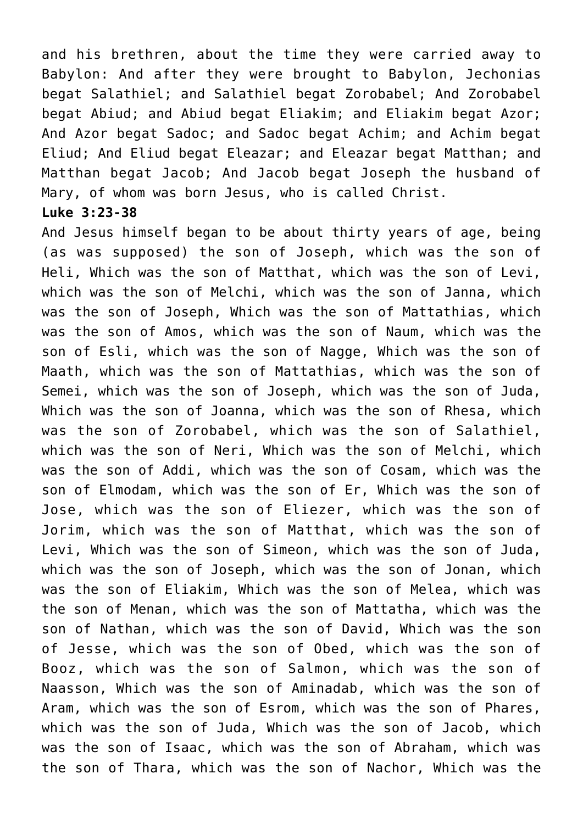and his brethren, about the time they were carried away to Babylon: And after they were brought to Babylon, Jechonias begat Salathiel; and Salathiel begat Zorobabel; And Zorobabel begat Abiud; and Abiud begat Eliakim; and Eliakim begat Azor; And Azor begat Sadoc; and Sadoc begat Achim; and Achim begat Eliud; And Eliud begat Eleazar; and Eleazar begat Matthan; and Matthan begat Jacob; And Jacob begat Joseph the husband of Mary, of whom was born Jesus, who is called Christ.

### **Luke 3:23-38**

And Jesus himself began to be about thirty years of age, being (as was supposed) the son of Joseph, which was the son of Heli, Which was the son of Matthat, which was the son of Levi, which was the son of Melchi, which was the son of Janna, which was the son of Joseph, Which was the son of Mattathias, which was the son of Amos, which was the son of Naum, which was the son of Esli, which was the son of Nagge, Which was the son of Maath, which was the son of Mattathias, which was the son of Semei, which was the son of Joseph, which was the son of Juda, Which was the son of Joanna, which was the son of Rhesa, which was the son of Zorobabel, which was the son of Salathiel, which was the son of Neri, Which was the son of Melchi, which was the son of Addi, which was the son of Cosam, which was the son of Elmodam, which was the son of Er, Which was the son of Jose, which was the son of Eliezer, which was the son of Jorim, which was the son of Matthat, which was the son of Levi, Which was the son of Simeon, which was the son of Juda, which was the son of Joseph, which was the son of Jonan, which was the son of Eliakim, Which was the son of Melea, which was the son of Menan, which was the son of Mattatha, which was the son of Nathan, which was the son of David, Which was the son of Jesse, which was the son of Obed, which was the son of Booz, which was the son of Salmon, which was the son of Naasson, Which was the son of Aminadab, which was the son of Aram, which was the son of Esrom, which was the son of Phares, which was the son of Juda, Which was the son of Jacob, which was the son of Isaac, which was the son of Abraham, which was the son of Thara, which was the son of Nachor, Which was the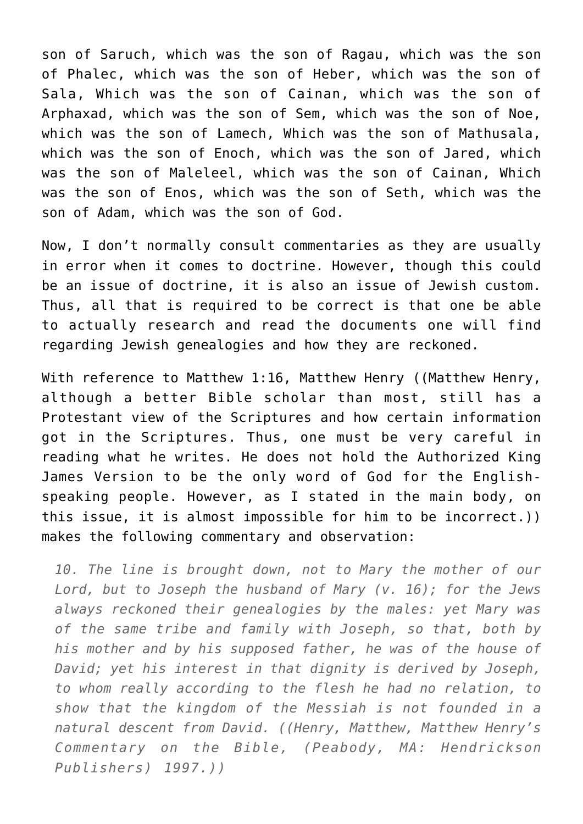son of Saruch, which was the son of Ragau, which was the son of Phalec, which was the son of Heber, which was the son of Sala, Which was the son of Cainan, which was the son of Arphaxad, which was the son of Sem, which was the son of Noe, which was the son of Lamech, Which was the son of Mathusala, which was the son of Enoch, which was the son of Jared, which was the son of Maleleel, which was the son of Cainan, Which was the son of Enos, which was the son of Seth, which was the son of Adam, which was the son of God.

Now, I don't normally consult commentaries as they are usually in error when it comes to doctrine. However, though this could be an issue of doctrine, it is also an issue of Jewish custom. Thus, all that is required to be correct is that one be able to actually research and read the documents one will find regarding Jewish genealogies and how they are reckoned.

With reference to Matthew 1:16, Matthew Henry ((Matthew Henry, although a better Bible scholar than most, still has a Protestant view of the Scriptures and how certain information got in the Scriptures. Thus, one must be very careful in reading what he writes. He does not hold the Authorized King James Version to be the only word of God for the Englishspeaking people. However, as I stated in the main body, on this issue, it is almost impossible for him to be incorrect.)) makes the following commentary and observation:

*10. The line is brought down, not to Mary the mother of our Lord, but to Joseph the husband of Mary (v. 16); for the Jews always reckoned their genealogies by the males: yet Mary was of the same tribe and family with Joseph, so that, both by his mother and by his supposed father, he was of the house of David; yet his interest in that dignity is derived by Joseph, to whom really according to the flesh he had no relation, to show that the kingdom of the Messiah is not founded in a natural descent from David. ((Henry, Matthew, Matthew Henry's Commentary on the Bible, (Peabody, MA: Hendrickson Publishers) 1997.))*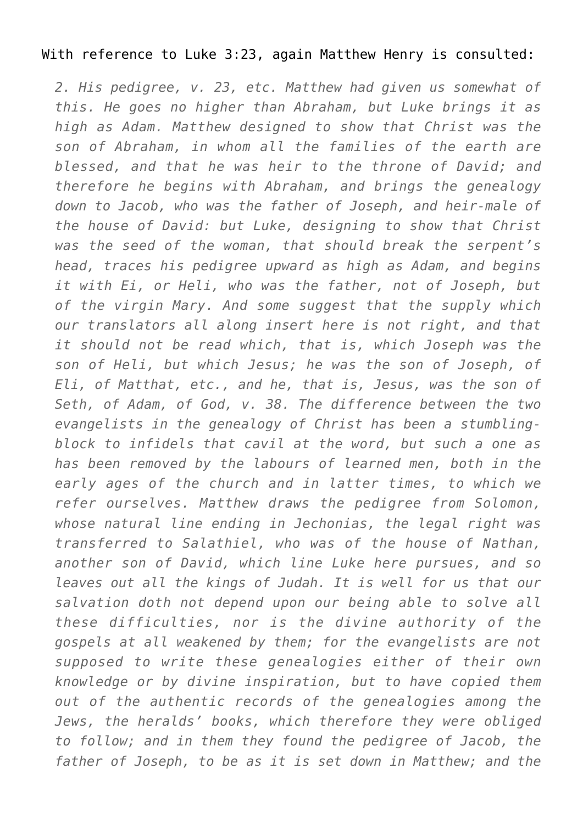# With reference to Luke 3:23, again Matthew Henry is consulted:

*2. His pedigree, v. 23, etc. Matthew had given us somewhat of this. He goes no higher than Abraham, but Luke brings it as high as Adam. Matthew designed to show that Christ was the son of Abraham, in whom all the families of the earth are blessed, and that he was heir to the throne of David; and therefore he begins with Abraham, and brings the genealogy down to Jacob, who was the father of Joseph, and heir-male of the house of David: but Luke, designing to show that Christ was the seed of the woman, that should break the serpent's head, traces his pedigree upward as high as Adam, and begins it with Ei, or Heli, who was the father, not of Joseph, but of the virgin Mary. And some suggest that the supply which our translators all along insert here is not right, and that it should not be read which, that is, which Joseph was the son of Heli, but which Jesus; he was the son of Joseph, of Eli, of Matthat, etc., and he, that is, Jesus, was the son of Seth, of Adam, of God, v. 38. The difference between the two evangelists in the genealogy of Christ has been a stumblingblock to infidels that cavil at the word, but such a one as has been removed by the labours of learned men, both in the early ages of the church and in latter times, to which we refer ourselves. Matthew draws the pedigree from Solomon, whose natural line ending in Jechonias, the legal right was transferred to Salathiel, who was of the house of Nathan, another son of David, which line Luke here pursues, and so leaves out all the kings of Judah. It is well for us that our salvation doth not depend upon our being able to solve all these difficulties, nor is the divine authority of the gospels at all weakened by them; for the evangelists are not supposed to write these genealogies either of their own knowledge or by divine inspiration, but to have copied them out of the authentic records of the genealogies among the Jews, the heralds' books, which therefore they were obliged to follow; and in them they found the pedigree of Jacob, the father of Joseph, to be as it is set down in Matthew; and the*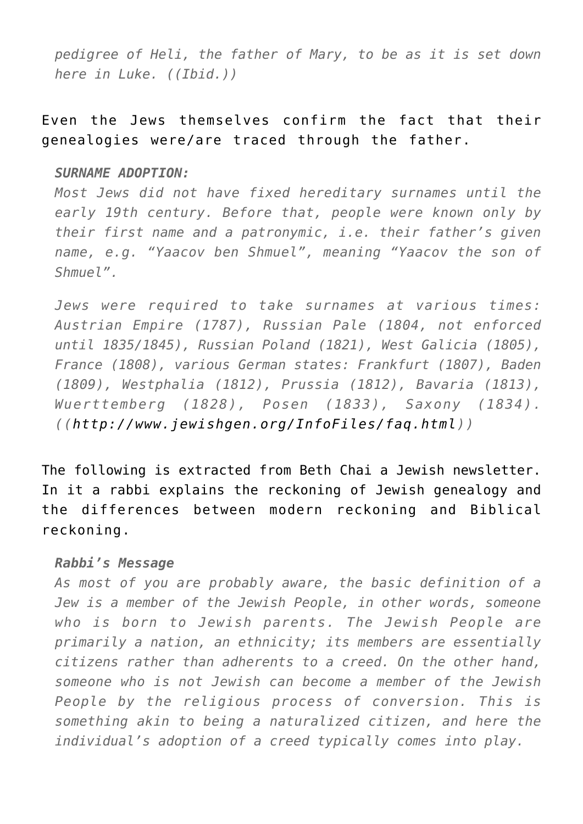*pedigree of Heli, the father of Mary, to be as it is set down here in Luke. ((Ibid.))*

Even the Jews themselves confirm the fact that their genealogies were/are traced through the father.

## *SURNAME ADOPTION:*

*Most Jews did not have fixed hereditary surnames until the early 19th century. Before that, people were known only by their first name and a patronymic, i.e. their father's given name, e.g. "Yaacov ben Shmuel", meaning "Yaacov the son of Shmuel".*

*Jews were required to take surnames at various times: Austrian Empire (1787), Russian Pale (1804, not enforced until 1835/1845), Russian Poland (1821), West Galicia (1805), France (1808), various German states: Frankfurt (1807), Baden (1809), Westphalia (1812), Prussia (1812), Bavaria (1813), Wuerttemberg (1828), Posen (1833), Saxony (1834). (([http://www.jewishgen.org/InfoFiles/faq.html\)](http://www.jewishgen.org/InfoFiles/faq.html))*

The following is extracted from Beth Chai a Jewish newsletter. In it a rabbi explains the reckoning of Jewish genealogy and the differences between modern reckoning and Biblical reckoning.

# *Rabbi's Message*

*As most of you are probably aware, the basic definition of a Jew is a member of the Jewish People, in other words, someone who is born to Jewish parents. The Jewish People are primarily a nation, an ethnicity; its members are essentially citizens rather than adherents to a creed. On the other hand, someone who is not Jewish can become a member of the Jewish People by the religious process of conversion. This is something akin to being a naturalized citizen, and here the individual's adoption of a creed typically comes into play.*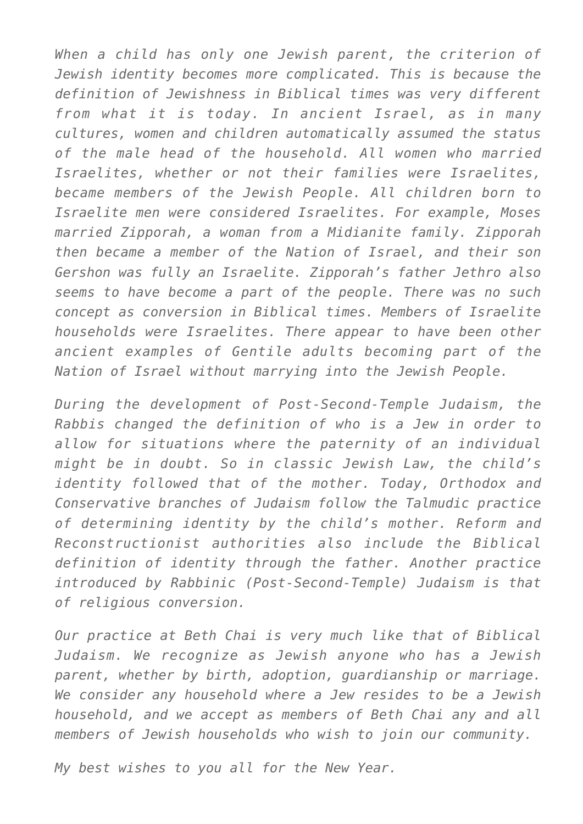*When a child has only one Jewish parent, the criterion of Jewish identity becomes more complicated. This is because the definition of Jewishness in Biblical times was very different from what it is today. In ancient Israel, as in many cultures, women and children automatically assumed the status of the male head of the household. All women who married Israelites, whether or not their families were Israelites, became members of the Jewish People. All children born to Israelite men were considered Israelites. For example, Moses married Zipporah, a woman from a Midianite family. Zipporah then became a member of the Nation of Israel, and their son Gershon was fully an Israelite. Zipporah's father Jethro also seems to have become a part of the people. There was no such concept as conversion in Biblical times. Members of Israelite households were Israelites. There appear to have been other ancient examples of Gentile adults becoming part of the Nation of Israel without marrying into the Jewish People.*

*During the development of Post-Second-Temple Judaism, the Rabbis changed the definition of who is a Jew in order to allow for situations where the paternity of an individual might be in doubt. So in classic Jewish Law, the child's identity followed that of the mother. Today, Orthodox and Conservative branches of Judaism follow the Talmudic practice of determining identity by the child's mother. Reform and Reconstructionist authorities also include the Biblical definition of identity through the father. Another practice introduced by Rabbinic (Post-Second-Temple) Judaism is that of religious conversion.*

*Our practice at Beth Chai is very much like that of Biblical Judaism. We recognize as Jewish anyone who has a Jewish parent, whether by birth, adoption, guardianship or marriage. We consider any household where a Jew resides to be a Jewish household, and we accept as members of Beth Chai any and all members of Jewish households who wish to join our community.*

*My best wishes to you all for the New Year.*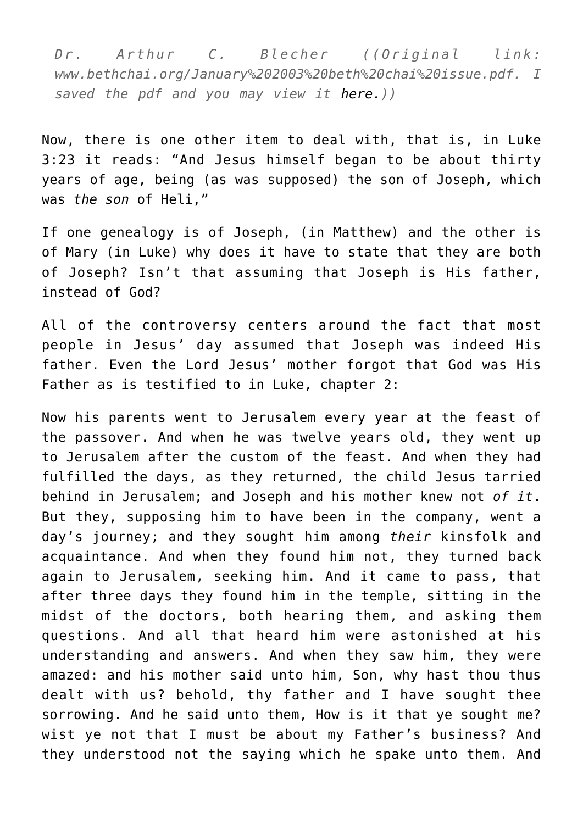*Dr. Arthur C. Blecher ((Original link: www.bethchai.org/January%202003%20beth%20chai%20issue.pdf. I saved the pdf and you may view it [here.\)](http://www.reproachofmen.org/wp-content/pdf/docs/January 2003 beth chai issue.pdf))*

Now, there is one other item to deal with, that is, in Luke 3:23 it reads: "And Jesus himself began to be about thirty years of age, being (as was supposed) the son of Joseph, which was *the son* of Heli,"

If one genealogy is of Joseph, (in Matthew) and the other is of Mary (in Luke) why does it have to state that they are both of Joseph? Isn't that assuming that Joseph is His father, instead of God?

All of the controversy centers around the fact that most people in Jesus' day assumed that Joseph was indeed His father. Even the Lord Jesus' mother forgot that God was His Father as is testified to in Luke, chapter 2:

Now his parents went to Jerusalem every year at the feast of the passover. And when he was twelve years old, they went up to Jerusalem after the custom of the feast. And when they had fulfilled the days, as they returned, the child Jesus tarried behind in Jerusalem; and Joseph and his mother knew not *of it*. But they, supposing him to have been in the company, went a day's journey; and they sought him among *their* kinsfolk and acquaintance. And when they found him not, they turned back again to Jerusalem, seeking him. And it came to pass, that after three days they found him in the temple, sitting in the midst of the doctors, both hearing them, and asking them questions. And all that heard him were astonished at his understanding and answers. And when they saw him, they were amazed: and his mother said unto him, Son, why hast thou thus dealt with us? behold, thy father and I have sought thee sorrowing. And he said unto them, How is it that ye sought me? wist ye not that I must be about my Father's business? And they understood not the saying which he spake unto them. And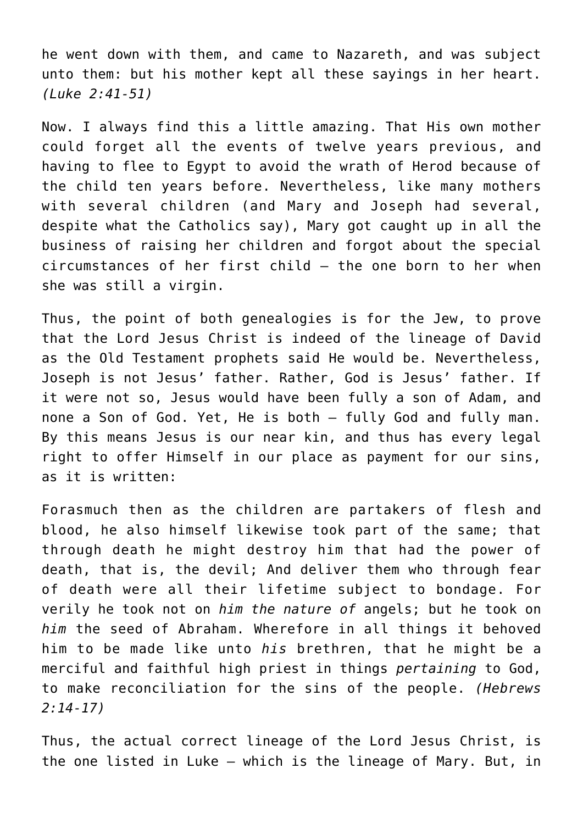he went down with them, and came to Nazareth, and was subject unto them: but his mother kept all these sayings in her heart. *(Luke 2:41-51)*

Now. I always find this a little amazing. That His own mother could forget all the events of twelve years previous, and having to flee to Egypt to avoid the wrath of Herod because of the child ten years before. Nevertheless, like many mothers with several children (and Mary and Joseph had several, despite what the Catholics say), Mary got caught up in all the business of raising her children and forgot about the special circumstances of her first child — the one born to her when she was still a virgin.

Thus, the point of both genealogies is for the Jew, to prove that the Lord Jesus Christ is indeed of the lineage of David as the Old Testament prophets said He would be. Nevertheless, Joseph is not Jesus' father. Rather, God is Jesus' father. If it were not so, Jesus would have been fully a son of Adam, and none a Son of God. Yet, He is both — fully God and fully man. By this means Jesus is our near kin, and thus has every legal right to offer Himself in our place as payment for our sins, as it is written:

Forasmuch then as the children are partakers of flesh and blood, he also himself likewise took part of the same; that through death he might destroy him that had the power of death, that is, the devil; And deliver them who through fear of death were all their lifetime subject to bondage. For verily he took not on *him the nature of* angels; but he took on *him* the seed of Abraham. Wherefore in all things it behoved him to be made like unto *his* brethren, that he might be a merciful and faithful high priest in things *pertaining* to God, to make reconciliation for the sins of the people. *(Hebrews 2:14-17)*

Thus, the actual correct lineage of the Lord Jesus Christ, is the one listed in Luke — which is the lineage of Mary. But, in